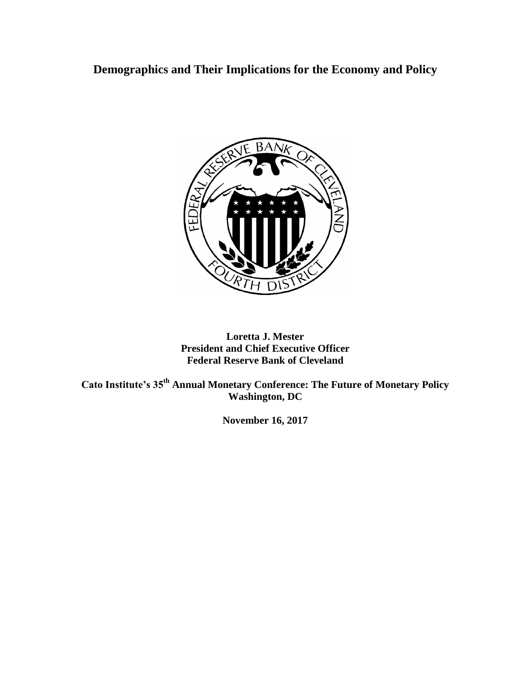**Demographics and Their Implications for the Economy and Policy**



# **Loretta J. Mester President and Chief Executive Officer Federal Reserve Bank of Cleveland**

**Cato Institute's 35th Annual Monetary Conference: The Future of Monetary Policy Washington, DC**

**November 16, 2017**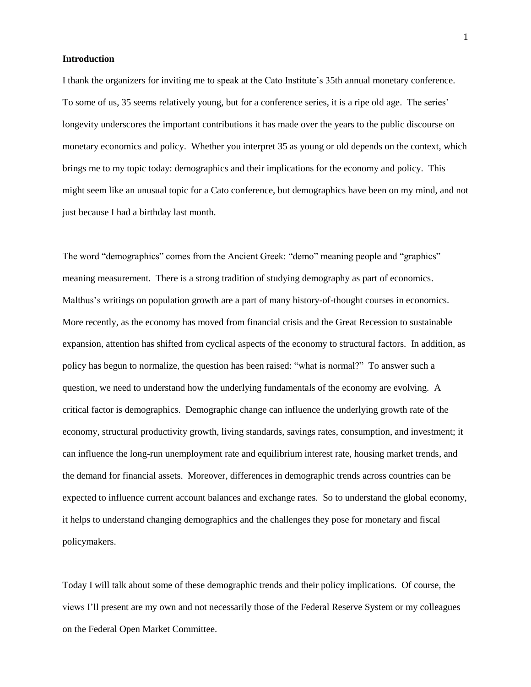# **Introduction**

I thank the organizers for inviting me to speak at the Cato Institute's 35th annual monetary conference. To some of us, 35 seems relatively young, but for a conference series, it is a ripe old age. The series' longevity underscores the important contributions it has made over the years to the public discourse on monetary economics and policy. Whether you interpret 35 as young or old depends on the context, which brings me to my topic today: demographics and their implications for the economy and policy. This might seem like an unusual topic for a Cato conference, but demographics have been on my mind, and not just because I had a birthday last month.

The word "demographics" comes from the Ancient Greek: "demo" meaning people and "graphics" meaning measurement. There is a strong tradition of studying demography as part of economics. Malthus's writings on population growth are a part of many history-of-thought courses in economics. More recently, as the economy has moved from financial crisis and the Great Recession to sustainable expansion, attention has shifted from cyclical aspects of the economy to structural factors. In addition, as policy has begun to normalize, the question has been raised: "what is normal?" To answer such a question, we need to understand how the underlying fundamentals of the economy are evolving. A critical factor is demographics. Demographic change can influence the underlying growth rate of the economy, structural productivity growth, living standards, savings rates, consumption, and investment; it can influence the long-run unemployment rate and equilibrium interest rate, housing market trends, and the demand for financial assets. Moreover, differences in demographic trends across countries can be expected to influence current account balances and exchange rates. So to understand the global economy, it helps to understand changing demographics and the challenges they pose for monetary and fiscal policymakers.

Today I will talk about some of these demographic trends and their policy implications. Of course, the views I'll present are my own and not necessarily those of the Federal Reserve System or my colleagues on the Federal Open Market Committee.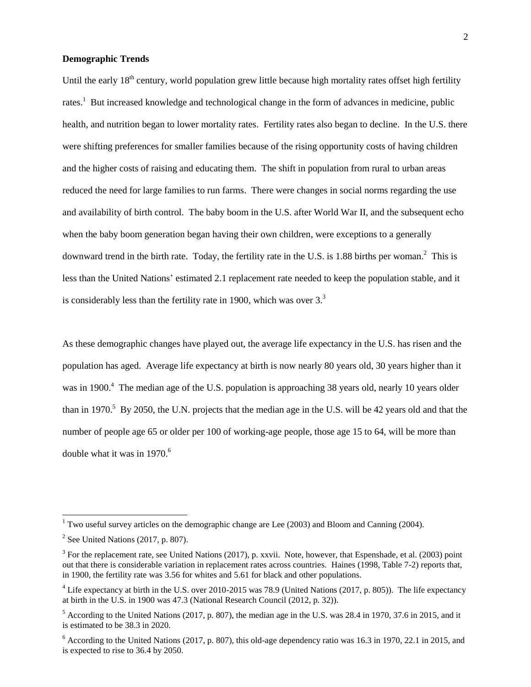# **Demographic Trends**

Until the early 18<sup>th</sup> century, world population grew little because high mortality rates offset high fertility rates.<sup>1</sup> But increased knowledge and technological change in the form of advances in medicine, public health, and nutrition began to lower mortality rates. Fertility rates also began to decline. In the U.S. there were shifting preferences for smaller families because of the rising opportunity costs of having children and the higher costs of raising and educating them. The shift in population from rural to urban areas reduced the need for large families to run farms. There were changes in social norms regarding the use and availability of birth control. The baby boom in the U.S. after World War II, and the subsequent echo when the baby boom generation began having their own children, were exceptions to a generally downward trend in the birth rate. Today, the fertility rate in the U.S. is 1.88 births per woman.<sup>2</sup> This is less than the United Nations' estimated 2.1 replacement rate needed to keep the population stable, and it is considerably less than the fertility rate in 1900, which was over  $3<sup>3</sup>$ 

As these demographic changes have played out, the average life expectancy in the U.S. has risen and the population has aged. Average life expectancy at birth is now nearly 80 years old, 30 years higher than it was in 1900.<sup>4</sup> The median age of the U.S. population is approaching 38 years old, nearly 10 years older than in 1970.<sup>5</sup> By 2050, the U.N. projects that the median age in the U.S. will be 42 years old and that the number of people age 65 or older per 100 of working-age people, those age 15 to 64, will be more than double what it was in 1970. 6

<sup>&</sup>lt;sup>1</sup> Two useful survey articles on the demographic change are Lee  $(2003)$  and Bloom and Canning (2004).

 $2$  See United Nations (2017, p. 807).

 $3$  For the replacement rate, see United Nations (2017), p. xxvii. Note, however, that Espenshade, et al. (2003) point out that there is considerable variation in replacement rates across countries. Haines (1998, Table 7-2) reports that, in 1900, the fertility rate was 3.56 for whites and 5.61 for black and other populations.

<sup>4</sup> Life expectancy at birth in the U.S. over 2010-2015 was 78.9 (United Nations (2017, p. 805)). The life expectancy at birth in the U.S. in 1900 was 47.3 (National Research Council (2012, p. 32)).

<sup>5</sup> According to the United Nations (2017, p. 807), the median age in the U.S. was 28.4 in 1970, 37.6 in 2015, and it is estimated to be 38.3 in 2020.

 $6$  According to the United Nations (2017, p. 807), this old-age dependency ratio was 16.3 in 1970, 22.1 in 2015, and is expected to rise to 36.4 by 2050.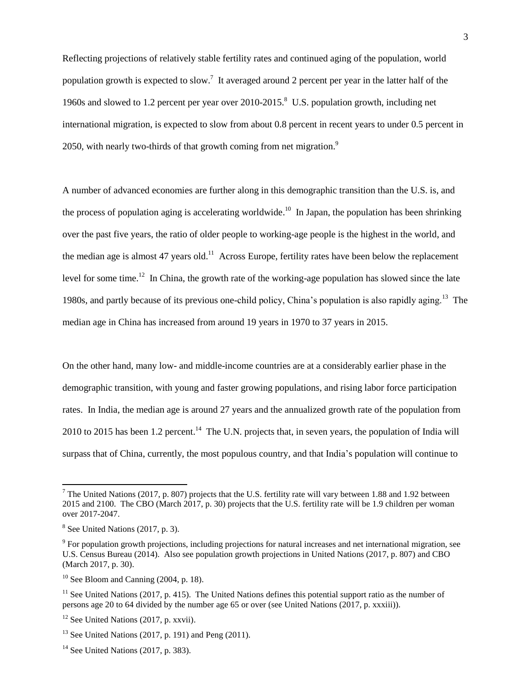Reflecting projections of relatively stable fertility rates and continued aging of the population, world population growth is expected to slow.<sup>7</sup> It averaged around 2 percent per year in the latter half of the 1960s and slowed to 1.2 percent per year over 2010-2015.<sup>8</sup> U.S. population growth, including net international migration, is expected to slow from about 0.8 percent in recent years to under 0.5 percent in 2050, with nearly two-thirds of that growth coming from net migration.<sup>9</sup>

A number of advanced economies are further along in this demographic transition than the U.S. is, and the process of population aging is accelerating worldwide.<sup>10</sup> In Japan, the population has been shrinking over the past five years, the ratio of older people to working-age people is the highest in the world, and the median age is almost 47 years old.<sup>11</sup> Across Europe, fertility rates have been below the replacement level for some time.<sup>12</sup> In China, the growth rate of the working-age population has slowed since the late 1980s, and partly because of its previous one-child policy, China's population is also rapidly aging.<sup>13</sup> The median age in China has increased from around 19 years in 1970 to 37 years in 2015.

On the other hand, many low- and middle-income countries are at a considerably earlier phase in the demographic transition, with young and faster growing populations, and rising labor force participation rates. In India, the median age is around 27 years and the annualized growth rate of the population from 2010 to 2015 has been 1.2 percent.<sup>14</sup> The U.N. projects that, in seven years, the population of India will surpass that of China, currently, the most populous country, and that India's population will continue to

 $\overline{a}$ 

<sup>&</sup>lt;sup>7</sup> The United Nations (2017, p. 807) projects that the U.S. fertility rate will vary between 1.88 and 1.92 between 2015 and 2100. The CBO (March 2017, p. 30) projects that the U.S. fertility rate will be 1.9 children per woman over 2017-2047.

 $8$  See United Nations (2017, p. 3).

 $9^9$  For population growth projections, including projections for natural increases and net international migration, see U.S. Census Bureau (2014). Also see population growth projections in United Nations (2017, p. 807) and CBO (March 2017, p. 30).

 $10$  See Bloom and Canning (2004, p. 18).

 $11$  See United Nations (2017, p. 415). The United Nations defines this potential support ratio as the number of persons age 20 to 64 divided by the number age 65 or over (see United Nations (2017, p. xxxiii)).

 $12$  See United Nations (2017, p. xxvii).

 $13$  See United Nations (2017, p. 191) and Peng (2011).

 $14$  See United Nations (2017, p. 383).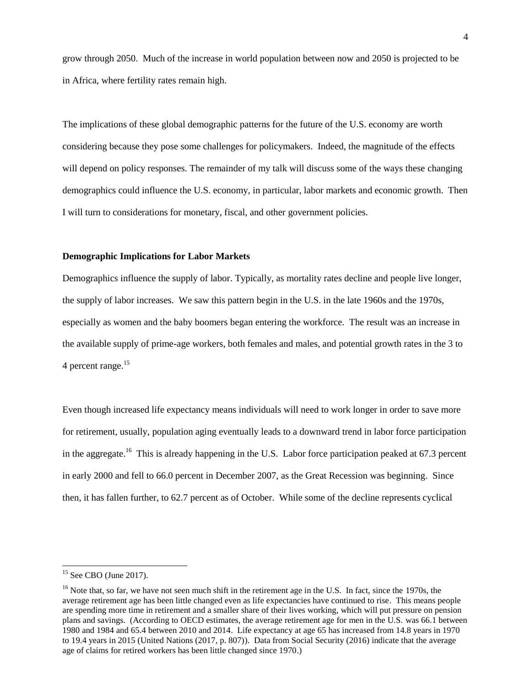grow through 2050. Much of the increase in world population between now and 2050 is projected to be in Africa, where fertility rates remain high.

The implications of these global demographic patterns for the future of the U.S. economy are worth considering because they pose some challenges for policymakers. Indeed, the magnitude of the effects will depend on policy responses. The remainder of my talk will discuss some of the ways these changing demographics could influence the U.S. economy, in particular, labor markets and economic growth. Then I will turn to considerations for monetary, fiscal, and other government policies.

#### **Demographic Implications for Labor Markets**

Demographics influence the supply of labor. Typically, as mortality rates decline and people live longer, the supply of labor increases. We saw this pattern begin in the U.S. in the late 1960s and the 1970s, especially as women and the baby boomers began entering the workforce. The result was an increase in the available supply of prime-age workers, both females and males, and potential growth rates in the 3 to 4 percent range.<sup>15</sup>

Even though increased life expectancy means individuals will need to work longer in order to save more for retirement, usually, population aging eventually leads to a downward trend in labor force participation in the aggregate.<sup>16</sup> This is already happening in the U.S. Labor force participation peaked at 67.3 percent in early 2000 and fell to 66.0 percent in December 2007, as the Great Recession was beginning. Since then, it has fallen further, to 62.7 percent as of October. While some of the decline represents cyclical

 $15$  See CBO (June 2017).

 $16$  Note that, so far, we have not seen much shift in the retirement age in the U.S. In fact, since the 1970s, the average retirement age has been little changed even as life expectancies have continued to rise. This means people are spending more time in retirement and a smaller share of their lives working, which will put pressure on pension plans and savings. (According to OECD estimates, the average retirement age for men in the U.S. was 66.1 between 1980 and 1984 and 65.4 between 2010 and 2014. Life expectancy at age 65 has increased from 14.8 years in 1970 to 19.4 years in 2015 (United Nations (2017, p. 807)). Data from Social Security (2016) indicate that the average age of claims for retired workers has been little changed since 1970.)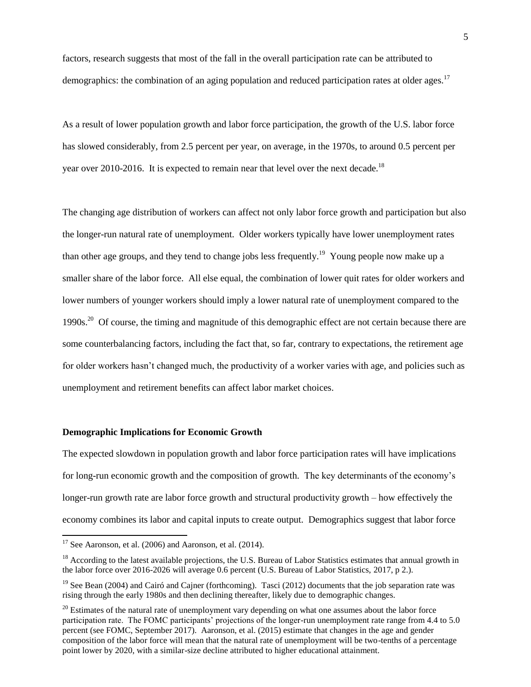factors, research suggests that most of the fall in the overall participation rate can be attributed to demographics: the combination of an aging population and reduced participation rates at older ages.<sup>17</sup>

As a result of lower population growth and labor force participation, the growth of the U.S. labor force has slowed considerably, from 2.5 percent per year, on average, in the 1970s, to around 0.5 percent per year over 2010-2016. It is expected to remain near that level over the next decade.<sup>18</sup>

The changing age distribution of workers can affect not only labor force growth and participation but also the longer-run natural rate of unemployment. Older workers typically have lower unemployment rates than other age groups, and they tend to change jobs less frequently.<sup>19</sup> Young people now make up a smaller share of the labor force. All else equal, the combination of lower quit rates for older workers and lower numbers of younger workers should imply a lower natural rate of unemployment compared to the 1990s.<sup>20</sup> Of course, the timing and magnitude of this demographic effect are not certain because there are some counterbalancing factors, including the fact that, so far, contrary to expectations, the retirement age for older workers hasn't changed much, the productivity of a worker varies with age, and policies such as unemployment and retirement benefits can affect labor market choices.

#### **Demographic Implications for Economic Growth**

The expected slowdown in population growth and labor force participation rates will have implications for long-run economic growth and the composition of growth. The key determinants of the economy's longer-run growth rate are labor force growth and structural productivity growth – how effectively the economy combines its labor and capital inputs to create output. Demographics suggest that labor force

 $17$  See Aaronson, et al. (2006) and Aaronson, et al. (2014).

 $18$  According to the latest available projections, the U.S. Bureau of Labor Statistics estimates that annual growth in the labor force over 2016-2026 will average 0.6 percent (U.S. Bureau of Labor Statistics, 2017, p 2.).

<sup>&</sup>lt;sup>19</sup> See Bean (2004) and Cairó and Cajner (forthcoming). Tasci (2012) documents that the job separation rate was rising through the early 1980s and then declining thereafter, likely due to demographic changes.

<sup>&</sup>lt;sup>20</sup> Estimates of the natural rate of unemployment vary depending on what one assumes about the labor force participation rate. The FOMC participants' projections of the longer-run unemployment rate range from 4.4 to 5.0 percent (see FOMC, September 2017). Aaronson, et al. (2015) estimate that changes in the age and gender composition of the labor force will mean that the natural rate of unemployment will be two-tenths of a percentage point lower by 2020, with a similar-size decline attributed to higher educational attainment.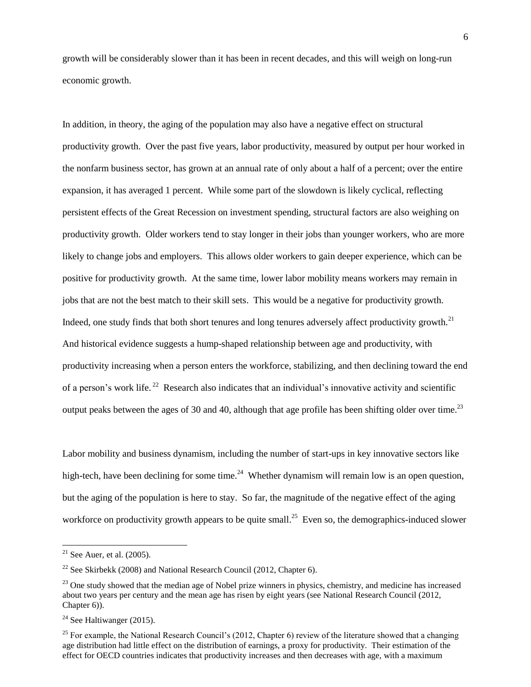growth will be considerably slower than it has been in recent decades, and this will weigh on long-run economic growth.

In addition, in theory, the aging of the population may also have a negative effect on structural productivity growth. Over the past five years, labor productivity, measured by output per hour worked in the nonfarm business sector, has grown at an annual rate of only about a half of a percent; over the entire expansion, it has averaged 1 percent. While some part of the slowdown is likely cyclical, reflecting persistent effects of the Great Recession on investment spending, structural factors are also weighing on productivity growth. Older workers tend to stay longer in their jobs than younger workers, who are more likely to change jobs and employers. This allows older workers to gain deeper experience, which can be positive for productivity growth. At the same time, lower labor mobility means workers may remain in jobs that are not the best match to their skill sets. This would be a negative for productivity growth. Indeed, one study finds that both short tenures and long tenures adversely affect productivity growth.<sup>21</sup> And historical evidence suggests a hump-shaped relationship between age and productivity, with productivity increasing when a person enters the workforce, stabilizing, and then declining toward the end of a person's work life.<sup>22</sup> Research also indicates that an individual's innovative activity and scientific output peaks between the ages of 30 and 40, although that age profile has been shifting older over time.<sup>23</sup>

Labor mobility and business dynamism, including the number of start-ups in key innovative sectors like high-tech, have been declining for some time.<sup>24</sup> Whether dynamism will remain low is an open question, but the aging of the population is here to stay. So far, the magnitude of the negative effect of the aging workforce on productivity growth appears to be quite small.<sup>25</sup> Even so, the demographics-induced slower

 $\overline{a}$ 

 $21$  See Auer, et al. (2005).

<sup>&</sup>lt;sup>22</sup> See Skirbekk (2008) and National Research Council (2012, Chapter 6).

 $^{23}$  One study showed that the median age of Nobel prize winners in physics, chemistry, and medicine has increased about two years per century and the mean age has risen by eight years (see National Research Council (2012, Chapter 6)).

 $24$  See Haltiwanger (2015).

 $25$  For example, the National Research Council's (2012, Chapter 6) review of the literature showed that a changing age distribution had little effect on the distribution of earnings, a proxy for productivity. Their estimation of the effect for OECD countries indicates that productivity increases and then decreases with age, with a maximum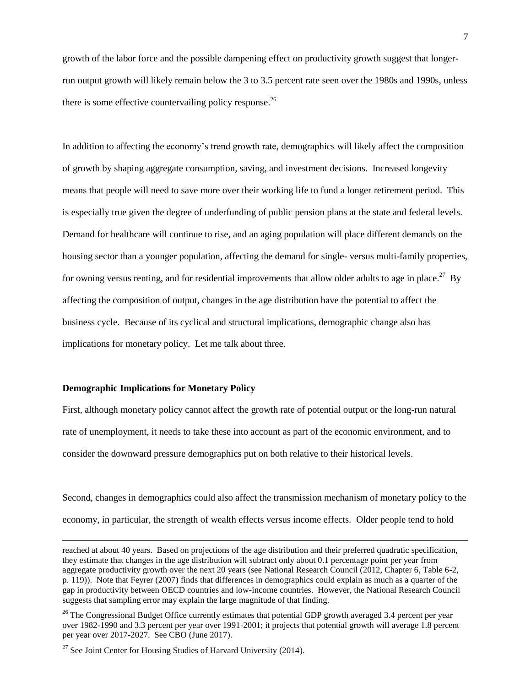growth of the labor force and the possible dampening effect on productivity growth suggest that longerrun output growth will likely remain below the 3 to 3.5 percent rate seen over the 1980s and 1990s, unless there is some effective countervailing policy response.<sup>26</sup>

In addition to affecting the economy's trend growth rate, demographics will likely affect the composition of growth by shaping aggregate consumption, saving, and investment decisions. Increased longevity means that people will need to save more over their working life to fund a longer retirement period. This is especially true given the degree of underfunding of public pension plans at the state and federal levels. Demand for healthcare will continue to rise, and an aging population will place different demands on the housing sector than a younger population, affecting the demand for single- versus multi-family properties, for owning versus renting, and for residential improvements that allow older adults to age in place.<sup>27</sup> By affecting the composition of output, changes in the age distribution have the potential to affect the business cycle. Because of its cyclical and structural implications, demographic change also has implications for monetary policy. Let me talk about three.

### **Demographic Implications for Monetary Policy**

l

First, although monetary policy cannot affect the growth rate of potential output or the long-run natural rate of unemployment, it needs to take these into account as part of the economic environment, and to consider the downward pressure demographics put on both relative to their historical levels.

Second, changes in demographics could also affect the transmission mechanism of monetary policy to the economy, in particular, the strength of wealth effects versus income effects. Older people tend to hold

reached at about 40 years. Based on projections of the age distribution and their preferred quadratic specification, they estimate that changes in the age distribution will subtract only about 0.1 percentage point per year from aggregate productivity growth over the next 20 years (see National Research Council (2012, Chapter 6, Table 6-2, p. 119)). Note that Feyrer (2007) finds that differences in demographics could explain as much as a quarter of the gap in productivity between OECD countries and low-income countries. However, the National Research Council suggests that sampling error may explain the large magnitude of that finding.

<sup>&</sup>lt;sup>26</sup> The Congressional Budget Office currently estimates that potential GDP growth averaged 3.4 percent per year over 1982-1990 and 3.3 percent per year over 1991-2001; it projects that potential growth will average 1.8 percent per year over 2017-2027. See CBO (June 2017).

 $27$  See Joint Center for Housing Studies of Harvard University (2014).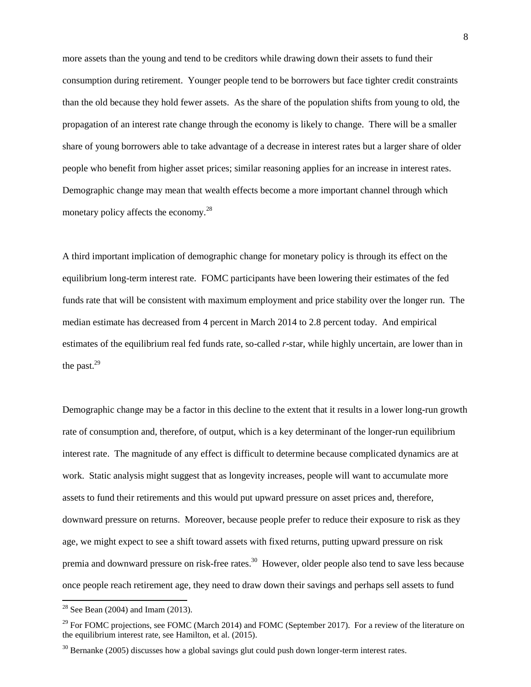more assets than the young and tend to be creditors while drawing down their assets to fund their consumption during retirement. Younger people tend to be borrowers but face tighter credit constraints than the old because they hold fewer assets. As the share of the population shifts from young to old, the propagation of an interest rate change through the economy is likely to change. There will be a smaller share of young borrowers able to take advantage of a decrease in interest rates but a larger share of older people who benefit from higher asset prices; similar reasoning applies for an increase in interest rates. Demographic change may mean that wealth effects become a more important channel through which monetary policy affects the economy.<sup>28</sup>

A third important implication of demographic change for monetary policy is through its effect on the equilibrium long-term interest rate. FOMC participants have been lowering their estimates of the fed funds rate that will be consistent with maximum employment and price stability over the longer run. The median estimate has decreased from 4 percent in March 2014 to 2.8 percent today. And empirical estimates of the equilibrium real fed funds rate, so-called *r*-star, while highly uncertain, are lower than in the past. $29$ 

Demographic change may be a factor in this decline to the extent that it results in a lower long-run growth rate of consumption and, therefore, of output, which is a key determinant of the longer-run equilibrium interest rate. The magnitude of any effect is difficult to determine because complicated dynamics are at work. Static analysis might suggest that as longevity increases, people will want to accumulate more assets to fund their retirements and this would put upward pressure on asset prices and, therefore, downward pressure on returns. Moreover, because people prefer to reduce their exposure to risk as they age, we might expect to see a shift toward assets with fixed returns, putting upward pressure on risk premia and downward pressure on risk-free rates.<sup>30</sup> However, older people also tend to save less because once people reach retirement age, they need to draw down their savings and perhaps sell assets to fund

<sup>&</sup>lt;sup>28</sup> See Bean (2004) and Imam (2013).

<sup>&</sup>lt;sup>29</sup> For FOMC projections, see FOMC (March 2014) and FOMC (September 2017). For a review of the literature on the equilibrium interest rate, see Hamilton, et al. (2015).

 $30$  Bernanke (2005) discusses how a global savings glut could push down longer-term interest rates.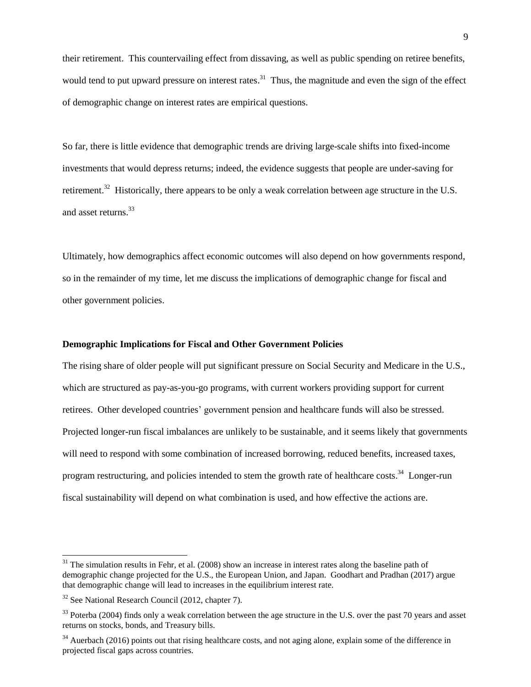their retirement. This countervailing effect from dissaving, as well as public spending on retiree benefits, would tend to put upward pressure on interest rates.<sup>31</sup> Thus, the magnitude and even the sign of the effect of demographic change on interest rates are empirical questions.

So far, there is little evidence that demographic trends are driving large-scale shifts into fixed-income investments that would depress returns; indeed, the evidence suggests that people are under-saving for retirement.<sup>32</sup> Historically, there appears to be only a weak correlation between age structure in the U.S. and asset returns. 33

Ultimately, how demographics affect economic outcomes will also depend on how governments respond, so in the remainder of my time, let me discuss the implications of demographic change for fiscal and other government policies.

# **Demographic Implications for Fiscal and Other Government Policies**

The rising share of older people will put significant pressure on Social Security and Medicare in the U.S., which are structured as pay-as-you-go programs, with current workers providing support for current retirees. Other developed countries' government pension and healthcare funds will also be stressed. Projected longer-run fiscal imbalances are unlikely to be sustainable, and it seems likely that governments will need to respond with some combination of increased borrowing, reduced benefits, increased taxes, program restructuring, and policies intended to stem the growth rate of healthcare costs.<sup>34</sup> Longer-run fiscal sustainability will depend on what combination is used, and how effective the actions are.

 $31$  The simulation results in Fehr, et al. (2008) show an increase in interest rates along the baseline path of demographic change projected for the U.S., the European Union, and Japan. Goodhart and Pradhan (2017) argue that demographic change will lead to increases in the equilibrium interest rate.

<sup>32</sup> See National Research Council (2012, chapter 7).

<sup>&</sup>lt;sup>33</sup> Poterba (2004) finds only a weak correlation between the age structure in the U.S. over the past 70 years and asset returns on stocks, bonds, and Treasury bills.

<sup>&</sup>lt;sup>34</sup> Auerbach (2016) points out that rising healthcare costs, and not aging alone, explain some of the difference in projected fiscal gaps across countries.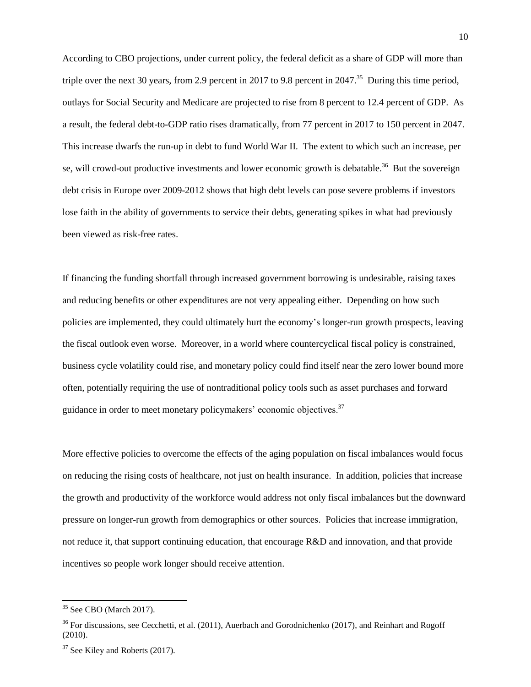According to CBO projections, under current policy, the federal deficit as a share of GDP will more than triple over the next 30 years, from 2.9 percent in 2017 to 9.8 percent in 2047.<sup>35</sup> During this time period, outlays for Social Security and Medicare are projected to rise from 8 percent to 12.4 percent of GDP. As a result, the federal debt-to-GDP ratio rises dramatically, from 77 percent in 2017 to 150 percent in 2047. This increase dwarfs the run-up in debt to fund World War II. The extent to which such an increase, per se, will crowd-out productive investments and lower economic growth is debatable.<sup>36</sup> But the sovereign debt crisis in Europe over 2009-2012 shows that high debt levels can pose severe problems if investors lose faith in the ability of governments to service their debts, generating spikes in what had previously been viewed as risk-free rates.

If financing the funding shortfall through increased government borrowing is undesirable, raising taxes and reducing benefits or other expenditures are not very appealing either. Depending on how such policies are implemented, they could ultimately hurt the economy's longer-run growth prospects, leaving the fiscal outlook even worse. Moreover, in a world where countercyclical fiscal policy is constrained, business cycle volatility could rise, and monetary policy could find itself near the zero lower bound more often, potentially requiring the use of nontraditional policy tools such as asset purchases and forward guidance in order to meet monetary policymakers' economic objectives.<sup>37</sup>

More effective policies to overcome the effects of the aging population on fiscal imbalances would focus on reducing the rising costs of healthcare, not just on health insurance. In addition, policies that increase the growth and productivity of the workforce would address not only fiscal imbalances but the downward pressure on longer-run growth from demographics or other sources. Policies that increase immigration, not reduce it, that support continuing education, that encourage R&D and innovation, and that provide incentives so people work longer should receive attention.

<sup>35</sup> See CBO (March 2017).

<sup>&</sup>lt;sup>36</sup> For discussions, see Cecchetti, et al. (2011), Auerbach and Gorodnichenko (2017), and Reinhart and Rogoff (2010).

<sup>&</sup>lt;sup>37</sup> See Kiley and Roberts (2017).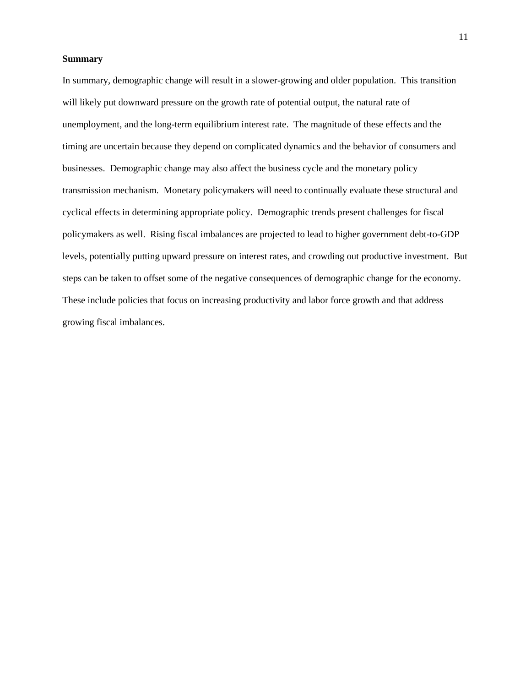# **Summary**

In summary, demographic change will result in a slower-growing and older population. This transition will likely put downward pressure on the growth rate of potential output, the natural rate of unemployment, and the long-term equilibrium interest rate. The magnitude of these effects and the timing are uncertain because they depend on complicated dynamics and the behavior of consumers and businesses. Demographic change may also affect the business cycle and the monetary policy transmission mechanism. Monetary policymakers will need to continually evaluate these structural and cyclical effects in determining appropriate policy. Demographic trends present challenges for fiscal policymakers as well. Rising fiscal imbalances are projected to lead to higher government debt-to-GDP levels, potentially putting upward pressure on interest rates, and crowding out productive investment. But steps can be taken to offset some of the negative consequences of demographic change for the economy. These include policies that focus on increasing productivity and labor force growth and that address growing fiscal imbalances.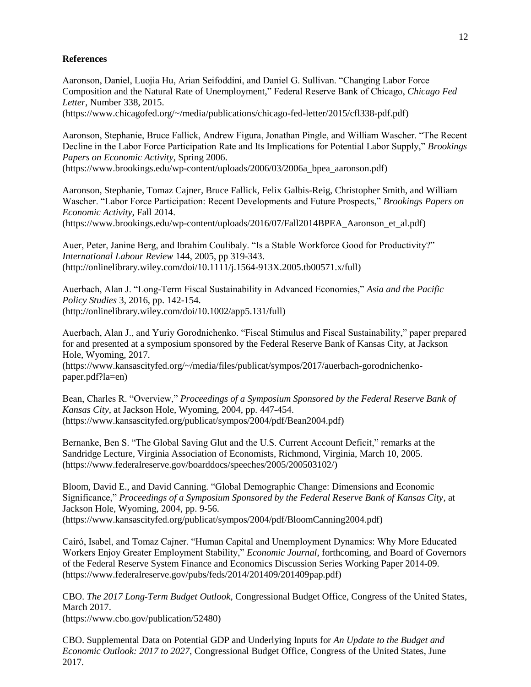## **References**

Aaronson, Daniel, Luojia Hu, Arian Seifoddini, and Daniel G. Sullivan. "Changing Labor Force Composition and the Natural Rate of Unemployment," Federal Reserve Bank of Chicago, *Chicago Fed Letter*, Number 338, 2015.

(https://www.chicagofed.org/~/media/publications/chicago-fed-letter/2015/cfl338-pdf.pdf)

Aaronson, Stephanie, Bruce Fallick, Andrew Figura, Jonathan Pingle, and William Wascher. "The Recent Decline in the Labor Force Participation Rate and Its Implications for Potential Labor Supply," *Brookings Papers on Economic Activity*, Spring 2006.

(https://www.brookings.edu/wp-content/uploads/2006/03/2006a\_bpea\_aaronson.pdf)

Aaronson, Stephanie, Tomaz Cajner, Bruce Fallick, Felix Galbis-Reig, Christopher Smith, and William Wascher. "Labor Force Participation: Recent Developments and Future Prospects," *Brookings Papers on Economic Activity*, Fall 2014.

(https://www.brookings.edu/wp-content/uploads/2016/07/Fall2014BPEA\_Aaronson\_et\_al.pdf)

Auer, Peter, Janine Berg, and Ibrahim Coulibaly. "Is a Stable Workforce Good for Productivity?" *International Labour Review* 144, 2005, pp 319-343. (http://onlinelibrary.wiley.com/doi/10.1111/j.1564-913X.2005.tb00571.x/full)

Auerbach, Alan J. "Long-Term Fiscal Sustainability in Advanced Economies," *Asia and the Pacific Policy Studies* 3, 2016, pp. 142-154. (http://onlinelibrary.wiley.com/doi/10.1002/app5.131/full)

Auerbach, Alan J., and Yuriy Gorodnichenko. "Fiscal Stimulus and Fiscal Sustainability," paper prepared for and presented at a symposium sponsored by the Federal Reserve Bank of Kansas City, at Jackson Hole, Wyoming, 2017.

(https://www.kansascityfed.org/~/media/files/publicat/sympos/2017/auerbach-gorodnichenkopaper.pdf?la=en)

Bean, Charles R. "Overview," *Proceedings of a Symposium Sponsored by the Federal Reserve Bank of Kansas City*, at Jackson Hole, Wyoming, 2004, pp. 447-454. (https://www.kansascityfed.org/publicat/sympos/2004/pdf/Bean2004.pdf)

Bernanke, Ben S. "The Global Saving Glut and the U.S. Current Account Deficit," remarks at the Sandridge Lecture, Virginia Association of Economists, Richmond, Virginia, March 10, 2005. (https://www.federalreserve.gov/boarddocs/speeches/2005/200503102/)

Bloom, David E., and David Canning. "Global Demographic Change: Dimensions and Economic Significance," *Proceedings of a Symposium Sponsored by the Federal Reserve Bank of Kansas City*, at Jackson Hole, Wyoming, 2004, pp. 9-56. (https://www.kansascityfed.org/publicat/sympos/2004/pdf/BloomCanning2004.pdf)

Cairó, Isabel, and Tomaz Cajner. "Human Capital and Unemployment Dynamics: Why More Educated Workers Enjoy Greater Employment Stability," *Economic Journal*, forthcoming, and Board of Governors of the Federal Reserve System Finance and Economics Discussion Series Working Paper 2014-09. (https://www.federalreserve.gov/pubs/feds/2014/201409/201409pap.pdf)

CBO. *The 2017 Long-Term Budget Outlook*, Congressional Budget Office, Congress of the United States, March 2017.

(https://www.cbo.gov/publication/52480)

CBO. Supplemental Data on Potential GDP and Underlying Inputs for *An Update to the Budget and Economic Outlook: 2017 to 2027*, Congressional Budget Office, Congress of the United States, June 2017.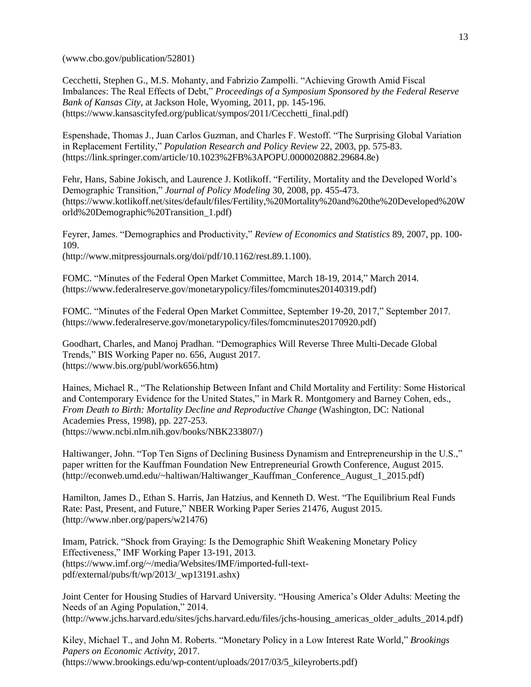(www.cbo.gov/publication/52801)

Cecchetti, Stephen G., M.S. Mohanty, and Fabrizio Zampolli. "Achieving Growth Amid Fiscal Imbalances: The Real Effects of Debt," *Proceedings of a Symposium Sponsored by the Federal Reserve Bank of Kansas City*, at Jackson Hole, Wyoming, 2011, pp. 145-196. (https://www.kansascityfed.org/publicat/sympos/2011/Cecchetti\_final.pdf)

Espenshade, Thomas J., Juan Carlos Guzman, and Charles F. Westoff. "The Surprising Global Variation in Replacement Fertility," *Population Research and Policy Review* 22, 2003, pp. 575-83. (https://link.springer.com/article/10.1023%2FB%3APOPU.0000020882.29684.8e)

Fehr, Hans, Sabine Jokisch, and Laurence J. Kotlikoff. "Fertility, Mortality and the Developed World's Demographic Transition," *Journal of Policy Modeling* 30, 2008, pp. 455-473. (https://www.kotlikoff.net/sites/default/files/Fertility,%20Mortality%20and%20the%20Developed%20W orld%20Demographic%20Transition\_1.pdf)

Feyrer, James. "Demographics and Productivity," *Review of Economics and Statistics* 89, 2007, pp. 100- 109.

(http://www.mitpressjournals.org/doi/pdf/10.1162/rest.89.1.100).

FOMC. "Minutes of the Federal Open Market Committee, March 18-19, 2014," March 2014. (https://www.federalreserve.gov/monetarypolicy/files/fomcminutes20140319.pdf)

FOMC. "Minutes of the Federal Open Market Committee, September 19-20, 2017," September 2017. (https://www.federalreserve.gov/monetarypolicy/files/fomcminutes20170920.pdf)

Goodhart, Charles, and Manoj Pradhan. "Demographics Will Reverse Three Multi-Decade Global Trends," BIS Working Paper no. 656, August 2017. (https://www.bis.org/publ/work656.htm)

Haines, Michael R., "The Relationship Between Infant and Child Mortality and Fertility: Some Historical and Contemporary Evidence for the United States," in Mark R. Montgomery and Barney Cohen, eds., *From Death to Birth: Mortality Decline and Reproductive Change* (Washington, DC: National Academies Press, 1998), pp. 227-253. (https://www.ncbi.nlm.nih.gov/books/NBK233807/)

Haltiwanger, John. "Top Ten Signs of Declining Business Dynamism and Entrepreneurship in the U.S.," paper written for the Kauffman Foundation New Entrepreneurial Growth Conference, August 2015. (http://econweb.umd.edu/~haltiwan/Haltiwanger\_Kauffman\_Conference\_August\_1\_2015.pdf)

Hamilton, James D., Ethan S. Harris, Jan Hatzius, and Kenneth D. West. "The Equilibrium Real Funds Rate: Past, Present, and Future," NBER Working Paper Series 21476, August 2015. (http://www.nber.org/papers/w21476)

Imam, Patrick. "Shock from Graying: Is the Demographic Shift Weakening Monetary Policy Effectiveness," IMF Working Paper 13-191, 2013. (https://www.imf.org/~/media/Websites/IMF/imported-full-textpdf/external/pubs/ft/wp/2013/\_wp13191.ashx)

Joint Center for Housing Studies of Harvard University. "Housing America's Older Adults: Meeting the Needs of an Aging Population," 2014. (http://www.jchs.harvard.edu/sites/jchs.harvard.edu/files/jchs-housing\_americas\_older\_adults\_2014.pdf)

Kiley, Michael T., and John M. Roberts. "Monetary Policy in a Low Interest Rate World," *Brookings Papers on Economic Activity*, 2017. (https://www.brookings.edu/wp-content/uploads/2017/03/5\_kileyroberts.pdf)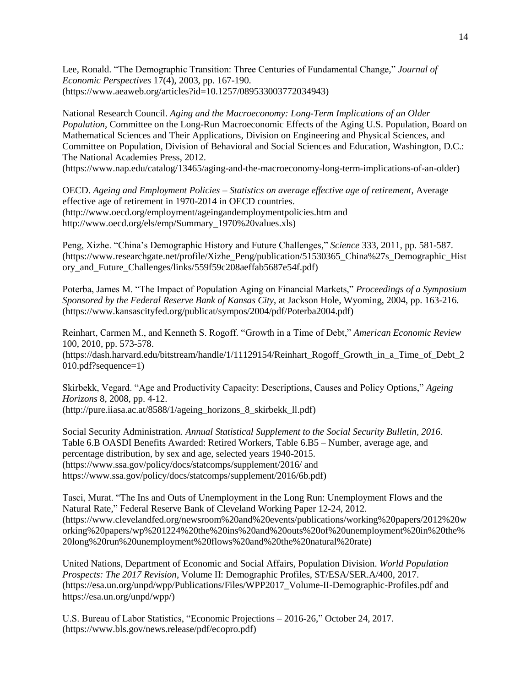Lee, Ronald. "The Demographic Transition: Three Centuries of Fundamental Change," *Journal of Economic Perspectives* 17(4), 2003, pp. 167-190. (https://www.aeaweb.org/articles?id=10.1257/089533003772034943)

National Research Council. *Aging and the Macroeconomy: Long-Term Implications of an Older Population*, Committee on the Long-Run Macroeconomic Effects of the Aging U.S. Population, Board on Mathematical Sciences and Their Applications, Division on Engineering and Physical Sciences, and Committee on Population, Division of Behavioral and Social Sciences and Education, Washington, D.C.: The National Academies Press, 2012.

(https://www.nap.edu/catalog/13465/aging-and-the-macroeconomy-long-term-implications-of-an-older)

OECD. *Ageing and Employment Policies – Statistics on average effective age of retirement*, Average effective age of retirement in 1970-2014 in OECD countries. (http://www.oecd.org/employment/ageingandemploymentpolicies.htm and http://www.oecd.org/els/emp/Summary\_1970%20values.xls)

Peng, Xizhe. "China's Demographic History and Future Challenges," *Science* 333, 2011, pp. 581-587. (https://www.researchgate.net/profile/Xizhe\_Peng/publication/51530365\_China%27s\_Demographic\_Hist ory\_and\_Future\_Challenges/links/559f59c208aeffab5687e54f.pdf)

Poterba, James M. "The Impact of Population Aging on Financial Markets," *Proceedings of a Symposium Sponsored by the Federal Reserve Bank of Kansas City*, at Jackson Hole, Wyoming, 2004, pp. 163-216. (https://www.kansascityfed.org/publicat/sympos/2004/pdf/Poterba2004.pdf)

Reinhart, Carmen M., and Kenneth S. Rogoff. "Growth in a Time of Debt," *American Economic Review* 100, 2010, pp. 573-578. (https://dash.harvard.edu/bitstream/handle/1/11129154/Reinhart\_Rogoff\_Growth\_in\_a\_Time\_of\_Debt\_2 010.pdf?sequence=1)

Skirbekk, Vegard. "Age and Productivity Capacity: Descriptions, Causes and Policy Options," *Ageing Horizons* 8, 2008, pp. 4-12. (http://pure.iiasa.ac.at/8588/1/ageing\_horizons\_8\_skirbekk\_ll.pdf)

Social Security Administration. *Annual Statistical Supplement to the Social Security Bulletin, 2016*. Table 6.B OASDI Benefits Awarded: Retired Workers, Table 6.B5 – Number, average age, and percentage distribution, by sex and age, selected years 1940-2015. (https://www.ssa.gov/policy/docs/statcomps/supplement/2016/ and https://www.ssa.gov/policy/docs/statcomps/supplement/2016/6b.pdf)

Tasci, Murat. "The Ins and Outs of Unemployment in the Long Run: Unemployment Flows and the Natural Rate," Federal Reserve Bank of Cleveland Working Paper 12-24, 2012. (https://www.clevelandfed.org/newsroom%20and%20events/publications/working%20papers/2012%20w orking%20papers/wp%201224%20the%20ins%20and%20outs%20of%20unemployment%20in%20the% 20long%20run%20unemployment%20flows%20and%20the%20natural%20rate)

United Nations, Department of Economic and Social Affairs, Population Division. *World Population Prospects: The 2017 Revision*, Volume II: Demographic Profiles, ST/ESA/SER.A/400, 2017. (https://esa.un.org/unpd/wpp/Publications/Files/WPP2017\_Volume-II-Demographic-Profiles.pdf and https://esa.un.org/unpd/wpp/)

U.S. Bureau of Labor Statistics, ["Economic Projections –](https://www.bls.gov/news.release/pdf/ecopro.pdf) 2016-26," October 24, 2017. (https://www.bls.gov/news.release/pdf/ecopro.pdf)